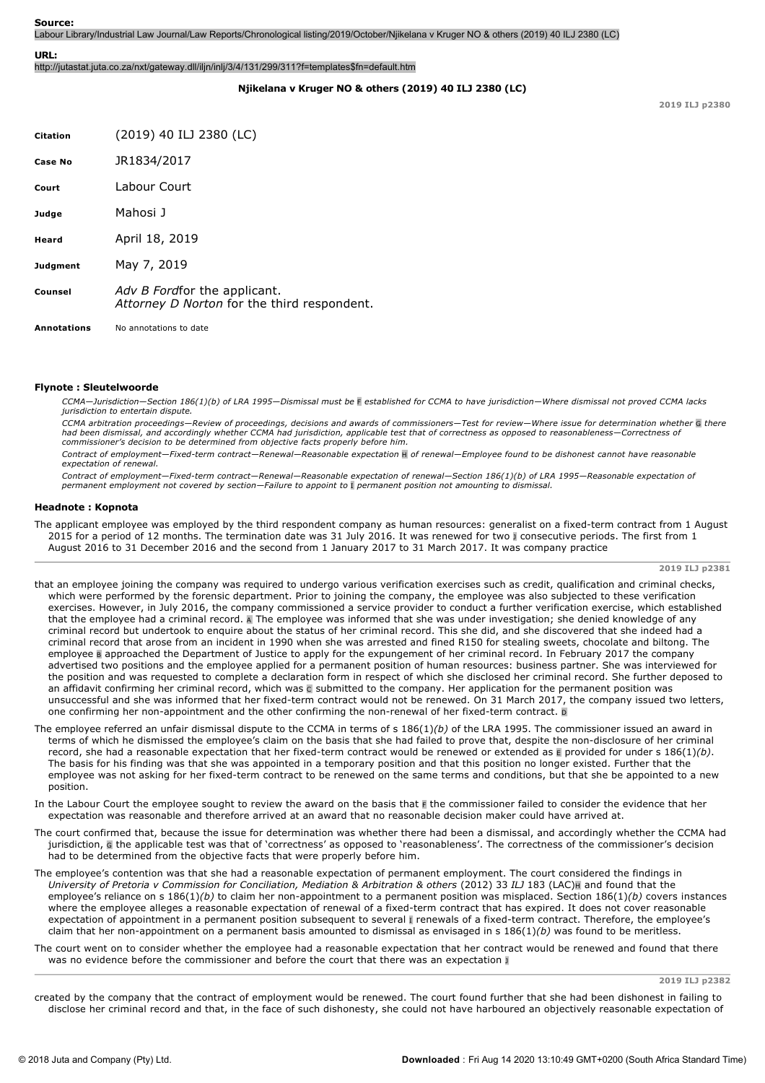Labour Library/Industrial Law Journal/Law Reports/Chronological listing/2019/October/Njikelana v Kruger NO & others (2019) 40 ILJ 2380 (LC)

#### **URL:**

http://jutastat.juta.co.za/nxt/gateway.dll/iljn/inlj/3/4/131/299/311?f=templates\$fn=default.htm

# **Njikelana v Kruger NO & others (2019) 40 ILJ 2380 (LC)**

**2019 ILJ p2380**

**Citation** (2019) 40 ILJ 2380 (LC) **Case No** JR1834/2017 **Court** Labour Court **Judge** Mahosi J **Heard** April 18, 2019 **Judgment** May 7, 2019 **Counsel** *Adv B Ford*for the applicant. *Attorney D Norton* for the third respondent.

**Annotations** No annotations to date

#### **Flynote : Sleutelwoorde**

*CCMA—Jurisdiction—Section 186(1)(b) of LRA 1995—Dismissal must be* F *established for CCMA to have jurisdiction—Where dismissal not proved CCMA lacks jurisdiction to entertain dispute.*

CCMA arbitration proceedings—Review of proceedings, decisions and awards of commissioners—Test for review—Where issue for determination whether G there<br>had been dismissal, and accordingly whether CCMA had jurisdiction, app *commissioner's decision to be determined from objective facts properly before him.*

Contract of employment—Fixed-term contract—Renewal—Reasonable expectation **H** of renewal—Employee found to be dishonest cannot have reasonable *expectation of renewal.*

Contract of employment—Fixed-term contract—Renewal—Reasonable expectation of renewal—Section 186(1)(b) of LRA 1995—Reasonable expectation of *permanent employment not covered by section—Failure to appoint to* I  *permanent position not amounting to dismissal.*

#### **Headnote : Kopnota**

The applicant employee was employed by the third respondent company as human resources: generalist on a fixed-term contract from 1 August 2015 for a period of 12 months. The termination date was 31 July 2016. It was renewed for two I consecutive periods. The first from 1 August 2016 to 31 December 2016 and the second from 1 January 2017 to 31 March 2017. It was company practice

**2019 ILJ p2381**

- that an employee joining the company was required to undergo various verification exercises such as credit, qualification and criminal checks, which were performed by the forensic department. Prior to joining the company, the employee was also subjected to these verification exercises. However, in July 2016, the company commissioned a service provider to conduct a further verification exercise, which established that the employee had a criminal record. A The employee was informed that she was under investigation; she denied knowledge of any criminal record but undertook to enquire about the status of her criminal record. This she did, and she discovered that she indeed had a criminal record that arose from an incident in 1990 when she was arrested and fined R150 for stealing sweets, chocolate and biltong. The employee **B** approached the Department of Justice to apply for the expungement of her criminal record. In February 2017 the company advertised two positions and the employee applied for a permanent position of human resources: business partner. She was interviewed for the position and was requested to complete a declaration form in respect of which she disclosed her criminal record. She further deposed to an affidavit confirming her criminal record, which was c submitted to the company. Her application for the permanent position was unsuccessful and she was informed that her fixed-term contract would not be renewed. On 31 March 2017, the company issued two letters, one confirming her non-appointment and the other confirming the non-renewal of her fixed-term contract. D
- The employee referred an unfair dismissal dispute to the CCMA in terms of s 186(1)*(b)* of the LRA 1995. The commissioner issued an award in terms of which he dismissed the employee's claim on the basis that she had failed to prove that, despite the non-disclosure of her criminal record, she had a reasonable expectation that her fixed-term contract would be renewed or extended as **E** provided for under s 186(1)(b). The basis for his finding was that she was appointed in a temporary position and that this position no longer existed. Further that the employee was not asking for her fixed-term contract to be renewed on the same terms and conditions, but that she be appointed to a new position.
- In the Labour Court the employee sought to review the award on the basis that F the commissioner failed to consider the evidence that her expectation was reasonable and therefore arrived at an award that no reasonable decision maker could have arrived at.
- The court confirmed that, because the issue for determination was whether there had been a dismissal, and accordingly whether the CCMA had jurisdiction, G the applicable test was that of 'correctness' as opposed to 'reasonableness'. The correctness of the commissioner's decision had to be determined from the objective facts that were properly before him.
- The employee's contention was that she had a reasonable expectation of permanent employment. The court considered the findings in *University of Pretoria v Commission for Conciliation, Mediation & Arbitration & others (2012) 33 ILJ 183 (LAC)H and found that the* employee's reliance on s 186(1)(b) to claim her non-appointment to a permanent position was misplaced. Section 186(1)(b) covers instances where the employee alleges a reasonable expectation of renewal of a fixed-term contract that has expired. It does not cover reasonable expectation of appointment in a permanent position subsequent to several I renewals of a fixed-term contract. Therefore, the employee's claim that her non-appointment on a permanent basis amounted to dismissal as envisaged in s 186(1)(b) was found to be meritless.
- The court went on to consider whether the employee had a reasonable expectation that her contract would be renewed and found that there was no evidence before the commissioner and before the court that there was an expectation <sup>J</sup>

**2019 ILJ p2382**

created by the company that the contract of employment would be renewed. The court found further that she had been dishonest in failing to disclose her criminal record and that, in the face of such dishonesty, she could not have harboured an objectively reasonable expectation of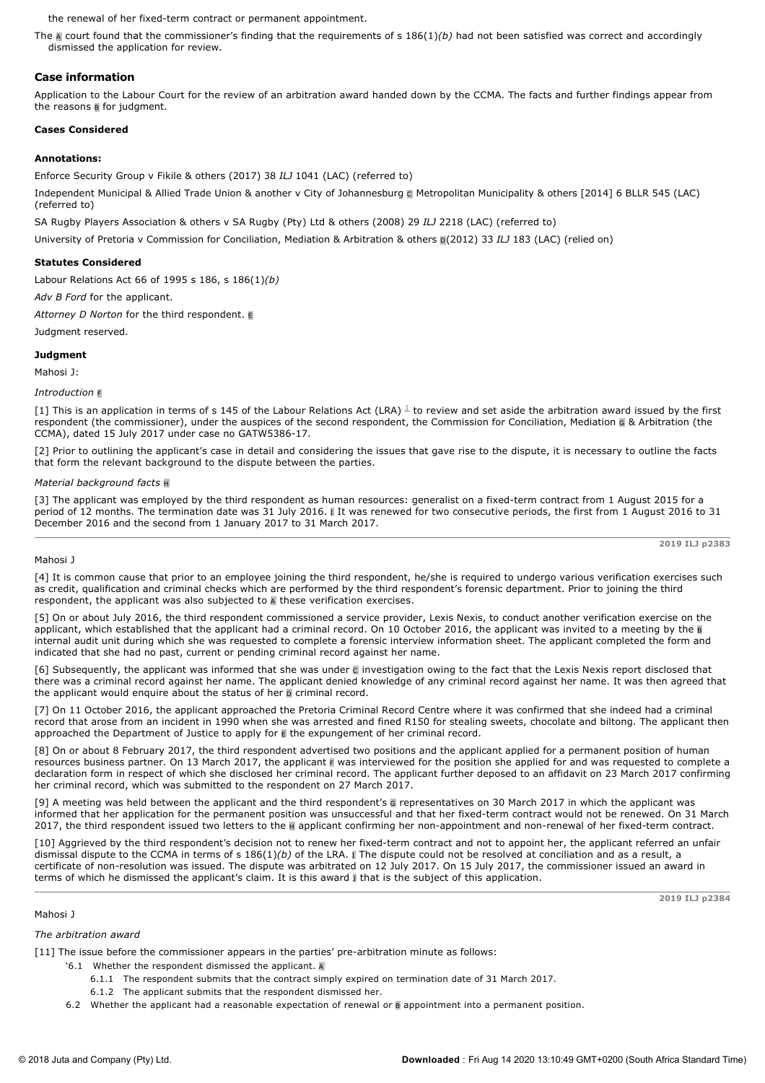the renewal of her fixed-term contract or permanent appointment.

The  $\blacksquare$  court found that the commissioner's finding that the requirements of s 186(1)(b) had not been satisfied was correct and accordingly dismissed the application for review.

# **Case information**

Application to the Labour Court for the review of an arbitration award handed down by the CCMA. The facts and further findings appear from the reasons **B** for judgment.

## **Cases Considered**

## **Annotations:**

Enforce Security Group v Fikile & others (2017) 38 *ILJ* 1041 (LAC) (referred to)

Independent Municipal & Allied Trade Union & another v City of Johannesburg <sup>C</sup> Metropolitan Municipality & others [2014] 6 BLLR 545 (LAC) (referred to)

SA Rugby Players Association & others v SA Rugby (Pty) Ltd & others (2008) 29 *ILJ* 2218 (LAC) (referred to)

University of Pretoria v Commission for Conciliation, Mediation & Arbitration & others D(2012) 33 *ILJ* 183 (LAC) (relied on)

# **Statutes Considered**

Labour Relations Act 66 of 1995 s 186, s 186(1)*(b)*

*Adv B Ford* for the applicant.

*Attorney D Norton* for the third respondent. <sup>E</sup>

Judgment reserved.

### **Judgment**

Mahosi J:

### *Introduction* <sup>F</sup>

[1] This is an application in terms of s 145 of the Labour Relations Act (LRA)  $\pm$  to review and set aside the arbitration award issued by the first respondent (the commissioner), under the auspices of the second respondent, the Commission for Conciliation, Mediation G & Arbitration (the CCMA), dated 15 July 2017 under case no GATW5386-17.

[2] Prior to outlining the applicant's case in detail and considering the issues that gave rise to the dispute, it is necessary to outline the facts that form the relevant background to the dispute between the parties.

### *Material background facts* <sup>H</sup>

[3] The applicant was employed by the third respondent as human resources: generalist on a fixed-term contract from 1 August 2015 for a period of 12 months. The termination date was 31 July 2016. I It was renewed for two consecutive periods, the first from 1 August 2016 to 31 December 2016 and the second from 1 January 2017 to 31 March 2017.

#### **2019 ILJ p2383**

### Mahosi J

[4] It is common cause that prior to an employee joining the third respondent, he/she is required to undergo various verification exercises such as credit, qualification and criminal checks which are performed by the third respondent's forensic department. Prior to joining the third respondent, the applicant was also subjected to A these verification exercises.

[5] On or about July 2016, the third respondent commissioned a service provider, Lexis Nexis, to conduct another verification exercise on the applicant, which established that the applicant had a criminal record. On 10 October 2016, the applicant was invited to a meeting by the B internal audit unit during which she was requested to complete a forensic interview information sheet. The applicant completed the form and indicated that she had no past, current or pending criminal record against her name.

[6] Subsequently, the applicant was informed that she was under c investigation owing to the fact that the Lexis Nexis report disclosed that there was a criminal record against her name. The applicant denied knowledge of any criminal record against her name. It was then agreed that the applicant would enquire about the status of her p criminal record.

[7] On 11 October 2016, the applicant approached the Pretoria Criminal Record Centre where it was confirmed that she indeed had a criminal record that arose from an incident in 1990 when she was arrested and fined R150 for stealing sweets, chocolate and biltong. The applicant then approached the Department of Justice to apply for E the expungement of her criminal record.

[8] On or about 8 February 2017, the third respondent advertised two positions and the applicant applied for a permanent position of human resources business partner. On 13 March 2017, the applicant F was interviewed for the position she applied for and was requested to complete a declaration form in respect of which she disclosed her criminal record. The applicant further deposed to an affidavit on 23 March 2017 confirming her criminal record, which was submitted to the respondent on 27 March 2017.

[9] A meeting was held between the applicant and the third respondent's G representatives on 30 March 2017 in which the applicant was informed that her application for the permanent position was unsuccessful and that her fixed-term contract would not be renewed. On 31 March 2017, the third respondent issued two letters to the **H** applicant confirming her non-appointment and non-renewal of her fixed-term contract.

[10] Aggrieved by the third respondent's decision not to renew her fixed-term contract and not to appoint her, the applicant referred an unfair dismissal dispute to the CCMA in terms of s 186(1)*(b)* of the LRA. <sup>I</sup> The dispute could not be resolved at conciliation and as a result, a certificate of non-resolution was issued. The dispute was arbitrated on 12 July 2017. On 15 July 2017, the commissioner issued an award in terms of which he dismissed the applicant's claim. It is this award I that is the subject of this application.

#### **2019 ILJ p2384**

# Mahosi J

# *The arbitration award*

[11] The issue before the commissioner appears in the parties' pre-arbitration minute as follows:

- '6.1 Whether the respondent dismissed the applicant. A
	- 6.1.1 The respondent submits that the contract simply expired on termination date of 31 March 2017.
	- 6.1.2 The applicant submits that the respondent dismissed her.
- 6.2 Whether the applicant had a reasonable expectation of renewal or **B** appointment into a permanent position.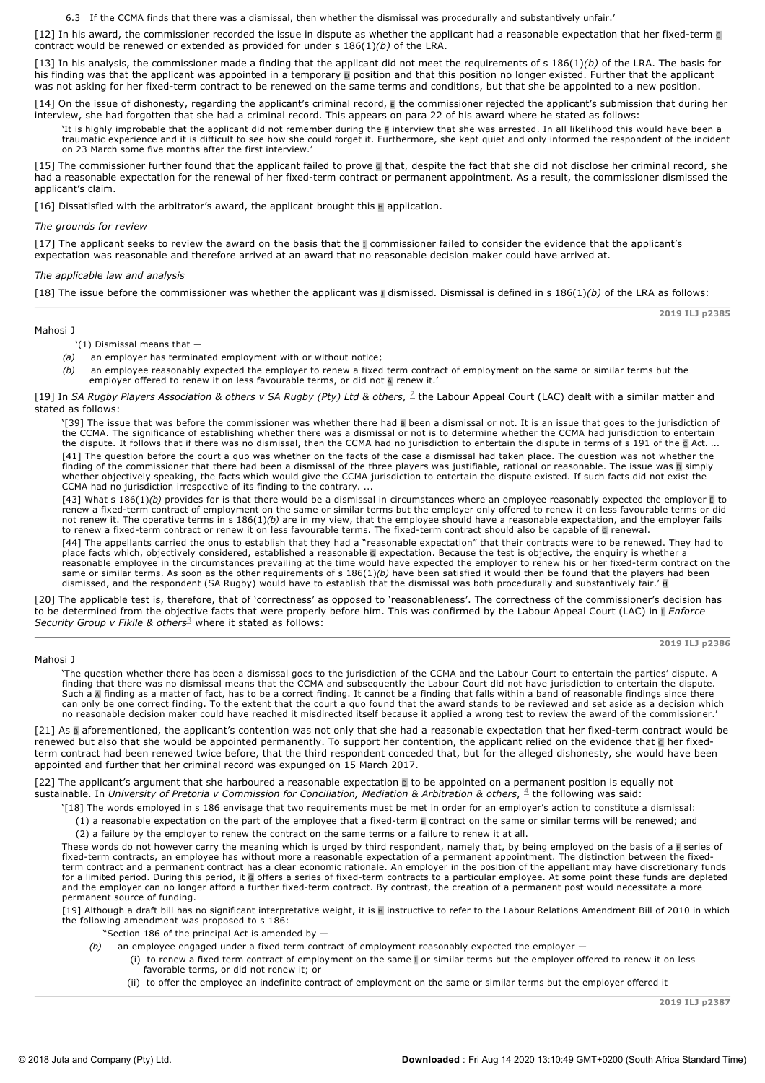6.3 If the CCMA finds that there was a dismissal, then whether the dismissal was procedurally and substantively unfair.'

[12] In his award, the commissioner recorded the issue in dispute as whether the applicant had a reasonable expectation that her fixed-term C contract would be renewed or extended as provided for under s 186(1)*(b)* of the LRA.

[13] In his analysis, the commissioner made a finding that the applicant did not meet the requirements of s 186(1)*(b)* of the LRA. The basis for his finding was that the applicant was appointed in a temporary **D** position and that this position no longer existed. Further that the applicant was not asking for her fixed-term contract to be renewed on the same terms and conditions, but that she be appointed to a new position.

[14] On the issue of dishonesty, regarding the applicant's criminal record, E the commissioner rejected the applicant's submission that during her interview, she had forgotten that she had a criminal record. This appears on para 22 of his award where he stated as follows:

'It is highly improbable that the applicant did not remember during the F interview that she was arrested. In all likelihood this would have been a traumatic experience and it is difficult to see how she could forget it. Furthermore, she kept quiet and only informed the respondent of the incident on 23 March some five months after the first interview.'

[15] The commissioner further found that the applicant failed to prove  $\overline{g}$  that, despite the fact that she did not disclose her criminal record, she had a reasonable expectation for the renewal of her fixed-term contract or permanent appointment. As a result, the commissioner dismissed the applicant's claim.

[16] Dissatisfied with the arbitrator's award, the applicant brought this  $\blacksquare$  application.

*The grounds for review*

[17] The applicant seeks to review the award on the basis that the I commissioner failed to consider the evidence that the applicant's expectation was reasonable and therefore arrived at an award that no reasonable decision maker could have arrived at.

*The applicable law and analysis*

[18] The issue before the commissioner was whether the applicant was I dismissed. Dismissal is defined in s 186(1)(b) of the LRA as follows:

**2019 ILJ p2385**

Mahosi J

'(1) Dismissal means that —

*(a)* an employer has terminated employment with or without notice;

*(b)* an employee reasonably expected the employer to renew a fixed term contract of employment on the same or similar terms but the employer offered to renew it on less favourable terms, or did not A renew it.'

[19] In SA Rugby Players Association & others v SA Rugby (Pty) Ltd & others, <sup>2</sup> the Labour Appeal Court (LAC) dealt with a similar matter and stated as follows:

'[39] The issue that was before the commissioner was whether there had B been a dismissal or not. It is an issue that goes to the jurisdiction of the CCMA. The significance of establishing whether there was a dismissal or not is to determine whether the CCMA had jurisdiction to entertain the dispute. It follows that if there was no dismissal, then the CCMA had no jurisdiction to entertain the dispute in terms of s 191 of the C Act. ... [41] The question before the court a quo was whether on the facts of the case a dismissal had taken place. The question was not whether the finding of the commissioner that there had been a dismissal of the three players was justifiable, rational or reasonable. The issue was p simply whether objectively speaking, the facts which would give the CCMA jurisdiction to entertain the dispute existed. If such facts did not exist the CCMA had no jurisdiction irrespective of its finding to the contrary. ...

[43] What s 186(1)(b) provides for is that there would be a dismissal in circumstances where an employee reasonably expected the employer E to renew a fixedterm contract of employment on the same or similar terms but the employer only offered to renew it on less favourable terms or did not renew it. The operative terms in s 186(1)*(b)* are in my view, that the employee should have a reasonable expectation, and the employer fails to renew a fixed-term contract or renew it on less favourable terms. The fixed-term contract should also be capable of G renewal.

[44] The appellants carried the onus to establish that they had a "reasonable expectation" that their contracts were to be renewed. They had to place facts which, objectively considered, established a reasonable G expectation. Because the test is objective, the enquiry is whether a reasonable employee in the circumstances prevailing at the time would have expected the employer to renew his or her fixed-term contract on the same or similar terms. As soon as the other requirements of s 186(1)*(b)* have been satisfied it would then be found that the players had been dismissed, and the respondent (SA Rugby) would have to establish that the dismissal was both procedurally and substantively fair.' H

[20] The applicable test is, therefore, that of 'correctness' as opposed to 'reasonableness'. The correctness of the commissioner's decision has to be determined from the objective facts that were properly before him. This was confirmed by the Labour Appeal Court (LAC) in <sup>I</sup> *Enforce* Security Group v Fikile & others<sup>3</sup> where it stated as follows:

**2019 ILJ p2386**

### Mahosi J

'The question whether there has been a dismissal goes to the jurisdiction of the CCMA and the Labour Court to entertain the parties' dispute. A<br>finding that there was no dismissal means that the CCMA and subsequently the L Such a A finding as a matter of fact, has to be a correct finding. It cannot be a finding that falls within a band of reasonable findings since there can only be one correct finding. To the extent that the court a quo found that the award stands to be reviewed and set aside as a decision which no reasonable decision maker could have reached it misdirected itself because it applied a wrong test to review the award of the commissioner.

[21] As **B** aforementioned, the applicant's contention was not only that she had a reasonable expectation that her fixed-term contract would be renewed but also that she would be appointed permanently. To support her contention, the applicant relied on the evidence that  $\blacksquare$  her fixedterm contract had been renewed twice before, that the third respondent conceded that, but for the alleged dishonesty, she would have been appointed and further that her criminal record was expunged on 15 March 2017.

[22] The applicant's argument that she harboured a reasonable expectation  $\overline{D}$  to be appointed on a permanent position is equally not sustainable. In *University of Pretoria v Commission for Conciliation, Mediation & Arbitration & others,*  $\frac{4}{7}$  *the following was said:* 

- '[18] The words employed in s 186 envisage that two requirements must be met in order for an employer's action to constitute a dismissal: (1) a reasonable expectation on the part of the employee that a fixed-term  $\bar{E}$  contract on the same or similar terms will be renewed; and
	- (2) a failure by the employer to renew the contract on the same terms or a failure to renew it at all.

These words do not however carry the meaning which is urged by third respondent, namely that, by being employed on the basis of a ∎ series of<br>fixed-term contracts, an employee has without more a reasonable expectation of for a limited period. During this period, it G offers a series of fixed-term contracts to a particular employee. At some point these funds are depleted and the employer can no longer afford a further fixed-term contract. By contrast, the creation of a permanent post would necessitate a more permanent source of funding.

[19] Although a draft bill has no significant interpretative weight, it is **H** instructive to refer to the Labour Relations Amendment Bill of 2010 in which the following amendment was proposed to s 186:

"Section 186 of the principal Act is amended by  $-$ 

- *(b)* an employee engaged under a fixed term contract of employment reasonably expected the employer
	- (i) to renew a fixed term contract of employment on the same I or similar terms but the employer offered to renew it on less favorable terms, or did not renew it; or
		- (ii) to offer the employee an indefinite contract of employment on the same or similar terms but the employer offered it

**2019 ILJ p2387**